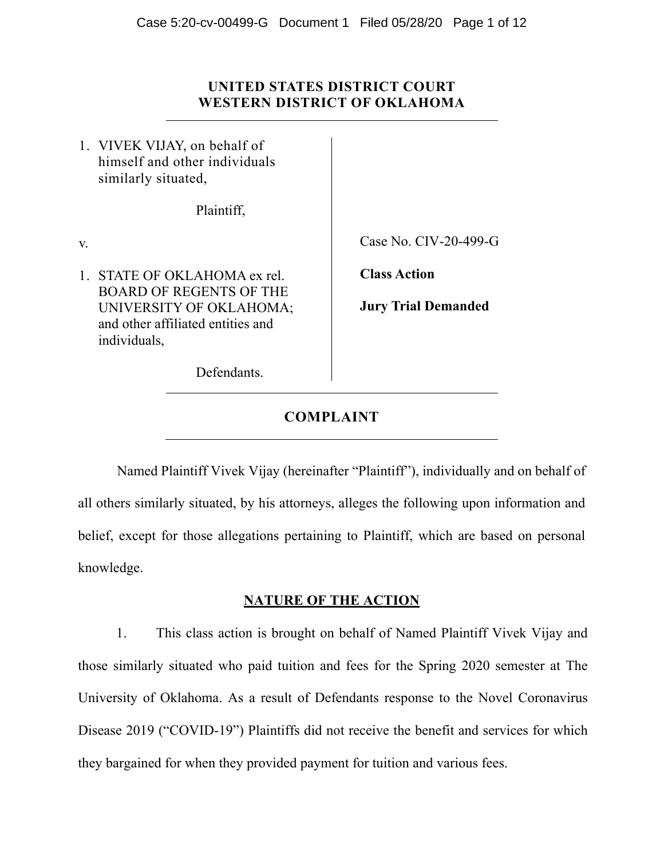# **UNITED STATES DISTRICT COURT WESTERN DISTRICT OF OKLAHOMA**

1. VIVEK VIJAY, on behalf of himself and other individuals similarly situated,

Plaintiff,

v.

1. STATE OF OKLAHOMA ex rel. BOARD OF REGENTS OF THE UNIVERSITY OF OKLAHOMA; and other affiliated entities and individuals,

Case No. CIV-20-499-G

**Class Action** 

**Jury Trial Demanded** 

Defendants.

# **COMPLAINT**

Named Plaintiff Vivek Vijay (hereinafter "Plaintiff"), individually and on behalf of all others similarly situated, by his attorneys, alleges the following upon information and belief, except for those allegations pertaining to Plaintiff, which are based on personal knowledge.

## **NATURE OF THE ACTION**

1. This class action is brought on behalf of Named Plaintiff Vivek Vijay and those similarly situated who paid tuition and fees for the Spring 2020 semester at The University of Oklahoma. As a result of Defendants response to the Novel Coronavirus Disease 2019 ("COVID-19") Plaintiffs did not receive the benefit and services for which they bargained for when they provided payment for tuition and various fees.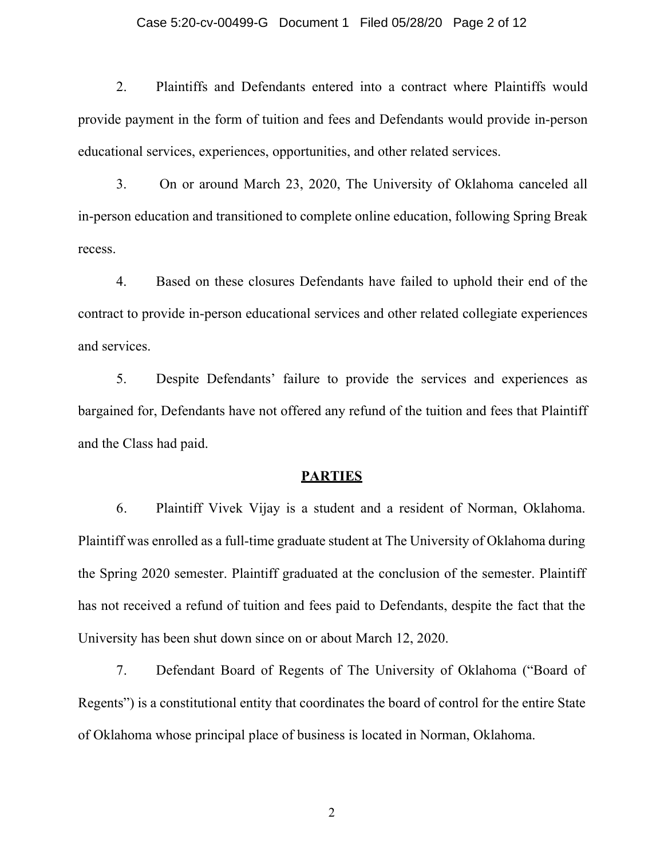#### Case 5:20-cv-00499-G Document 1 Filed 05/28/20 Page 2 of 12

2. Plaintiffs and Defendants entered into a contract where Plaintiffs would provide payment in the form of tuition and fees and Defendants would provide in-person educational services, experiences, opportunities, and other related services.

3. On or around March 23, 2020, The University of Oklahoma canceled all in-person education and transitioned to complete online education, following Spring Break recess.

4. Based on these closures Defendants have failed to uphold their end of the contract to provide in-person educational services and other related collegiate experiences and services.

5. Despite Defendants' failure to provide the services and experiences as bargained for, Defendants have not offered any refund of the tuition and fees that Plaintiff and the Class had paid.

#### **PARTIES**

6. Plaintiff Vivek Vijay is a student and a resident of Norman, Oklahoma. Plaintiff was enrolled as a full-time graduate student at The University of Oklahoma during the Spring 2020 semester. Plaintiff graduated at the conclusion of the semester. Plaintiff has not received a refund of tuition and fees paid to Defendants, despite the fact that the University has been shut down since on or about March 12, 2020.

7. Defendant Board of Regents of The University of Oklahoma ("Board of Regents") is a constitutional entity that coordinates the board of control for the entire State of Oklahoma whose principal place of business is located in Norman, Oklahoma.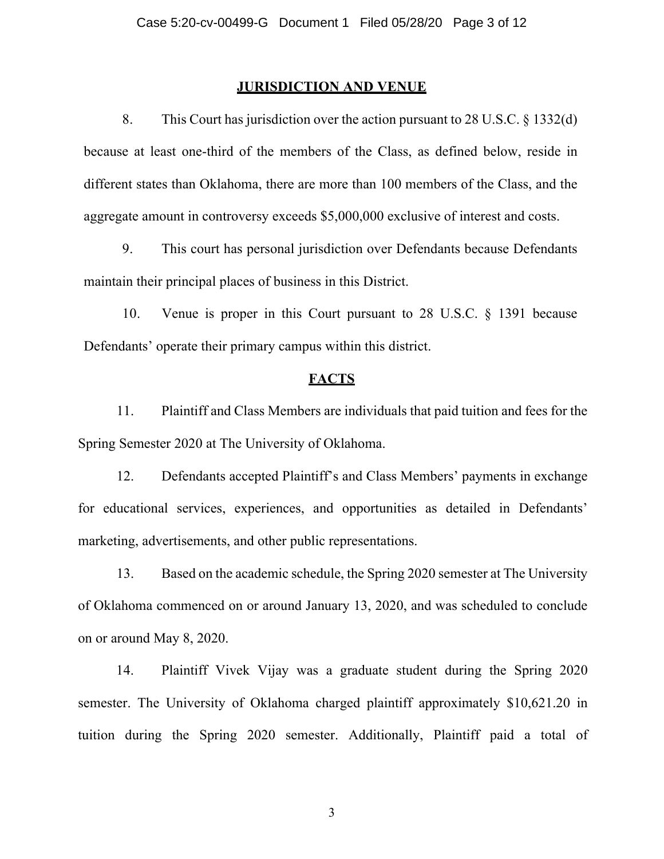### **JURISDICTION AND VENUE**

8. This Court has jurisdiction over the action pursuant to 28 U.S.C. § 1332(d) because at least one-third of the members of the Class, as defined below, reside in different states than Oklahoma, there are more than 100 members of the Class, and the aggregate amount in controversy exceeds \$5,000,000 exclusive of interest and costs.

9. This court has personal jurisdiction over Defendants because Defendants maintain their principal places of business in this District.

10. Venue is proper in this Court pursuant to 28 U.S.C. § 1391 because Defendants' operate their primary campus within this district.

# **FACTS**

11. Plaintiff and Class Members are individuals that paid tuition and fees for the Spring Semester 2020 at The University of Oklahoma.

12. Defendants accepted Plaintiff's and Class Members' payments in exchange for educational services, experiences, and opportunities as detailed in Defendants' marketing, advertisements, and other public representations.

13. Based on the academic schedule, the Spring 2020 semester at The University of Oklahoma commenced on or around January 13, 2020, and was scheduled to conclude on or around May 8, 2020.

14. Plaintiff Vivek Vijay was a graduate student during the Spring 2020 semester. The University of Oklahoma charged plaintiff approximately \$10,621.20 in tuition during the Spring 2020 semester. Additionally, Plaintiff paid a total of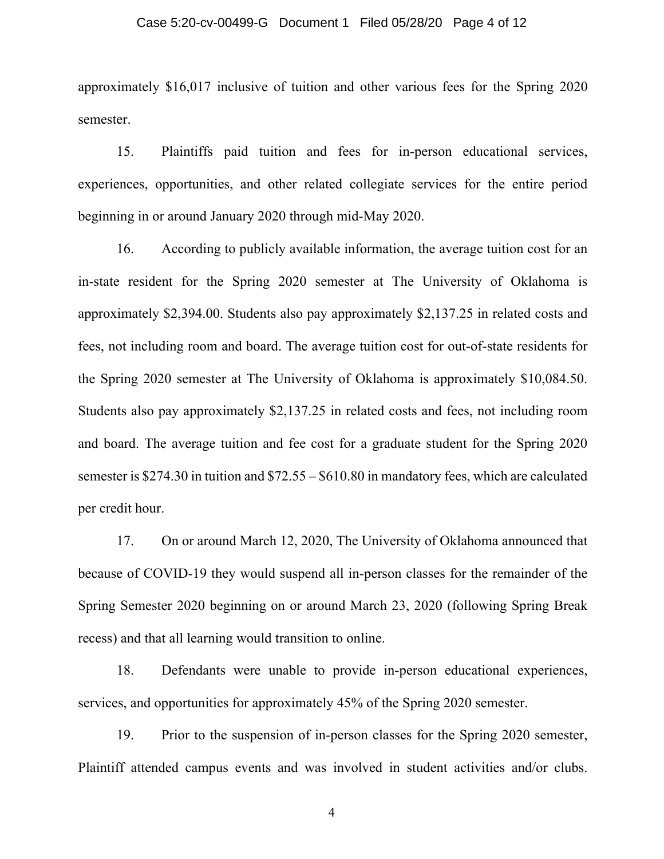#### Case 5:20-cv-00499-G Document 1 Filed 05/28/20 Page 4 of 12

approximately \$16,017 inclusive of tuition and other various fees for the Spring 2020 semester.

15. Plaintiffs paid tuition and fees for in-person educational services, experiences, opportunities, and other related collegiate services for the entire period beginning in or around January 2020 through mid-May 2020.

16. According to publicly available information, the average tuition cost for an in-state resident for the Spring 2020 semester at The University of Oklahoma is approximately \$2,394.00. Students also pay approximately \$2,137.25 in related costs and fees, not including room and board. The average tuition cost for out-of-state residents for the Spring 2020 semester at The University of Oklahoma is approximately \$10,084.50. Students also pay approximately \$2,137.25 in related costs and fees, not including room and board. The average tuition and fee cost for a graduate student for the Spring 2020 semester is \$274.30 in tuition and \$72.55 – \$610.80 in mandatory fees, which are calculated per credit hour.

17. On or around March 12, 2020, The University of Oklahoma announced that because of COVID-19 they would suspend all in-person classes for the remainder of the Spring Semester 2020 beginning on or around March 23, 2020 (following Spring Break recess) and that all learning would transition to online.

18. Defendants were unable to provide in-person educational experiences, services, and opportunities for approximately 45% of the Spring 2020 semester.

19. Prior to the suspension of in-person classes for the Spring 2020 semester, Plaintiff attended campus events and was involved in student activities and/or clubs.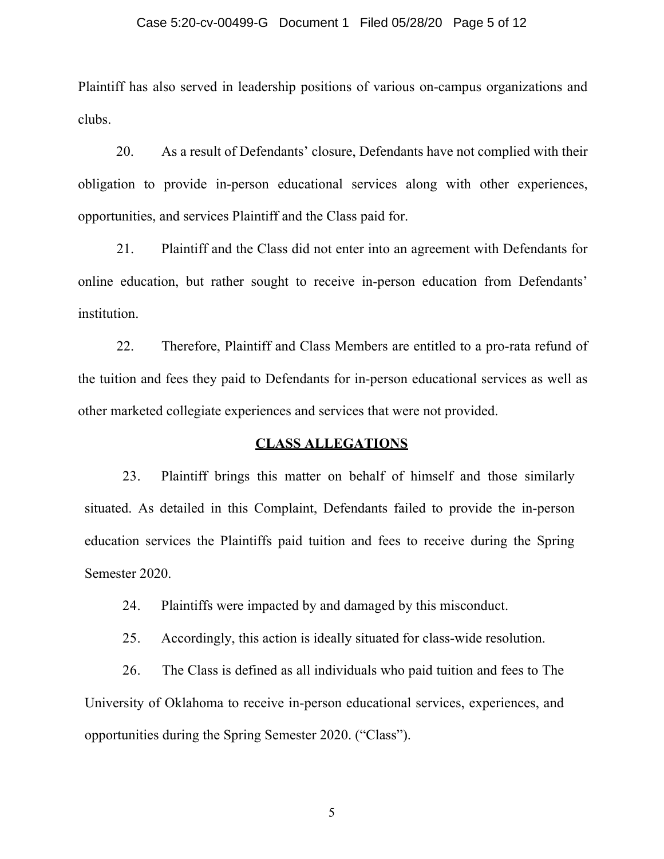#### Case 5:20-cv-00499-G Document 1 Filed 05/28/20 Page 5 of 12

Plaintiff has also served in leadership positions of various on-campus organizations and clubs.

20. As a result of Defendants' closure, Defendants have not complied with their obligation to provide in-person educational services along with other experiences, opportunities, and services Plaintiff and the Class paid for.

21. Plaintiff and the Class did not enter into an agreement with Defendants for online education, but rather sought to receive in-person education from Defendants' institution.

22. Therefore, Plaintiff and Class Members are entitled to a pro-rata refund of the tuition and fees they paid to Defendants for in-person educational services as well as other marketed collegiate experiences and services that were not provided.

### **CLASS ALLEGATIONS**

23. Plaintiff brings this matter on behalf of himself and those similarly situated. As detailed in this Complaint, Defendants failed to provide the in-person education services the Plaintiffs paid tuition and fees to receive during the Spring Semester 2020.

24. Plaintiffs were impacted by and damaged by this misconduct.

25. Accordingly, this action is ideally situated for class-wide resolution.

26. The Class is defined as all individuals who paid tuition and fees to The University of Oklahoma to receive in-person educational services, experiences, and opportunities during the Spring Semester 2020. ("Class").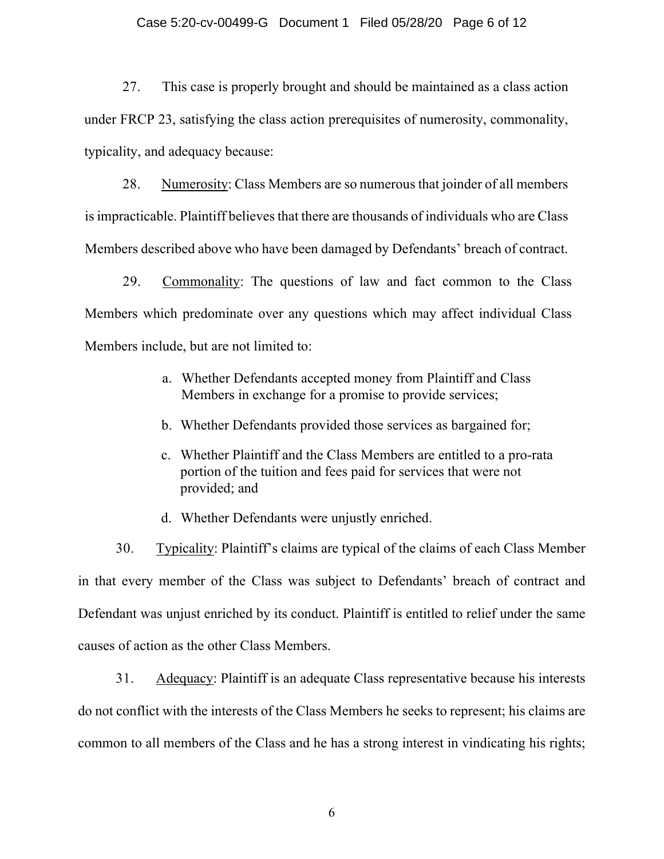#### Case 5:20-cv-00499-G Document 1 Filed 05/28/20 Page 6 of 12

27. This case is properly brought and should be maintained as a class action under FRCP 23, satisfying the class action prerequisites of numerosity, commonality, typicality, and adequacy because:

28. Numerosity: Class Members are so numerous that joinder of all members is impracticable. Plaintiff believes that there are thousands of individuals who are Class Members described above who have been damaged by Defendants' breach of contract.

29. Commonality: The questions of law and fact common to the Class Members which predominate over any questions which may affect individual Class Members include, but are not limited to:

- a. Whether Defendants accepted money from Plaintiff and Class Members in exchange for a promise to provide services;
- b. Whether Defendants provided those services as bargained for;
- c. Whether Plaintiff and the Class Members are entitled to a pro-rata portion of the tuition and fees paid for services that were not provided; and
- d. Whether Defendants were unjustly enriched.

30. Typicality: Plaintiff's claims are typical of the claims of each Class Member in that every member of the Class was subject to Defendants' breach of contract and Defendant was unjust enriched by its conduct. Plaintiff is entitled to relief under the same causes of action as the other Class Members.

31. Adequacy: Plaintiff is an adequate Class representative because his interests do not conflict with the interests of the Class Members he seeks to represent; his claims are common to all members of the Class and he has a strong interest in vindicating his rights;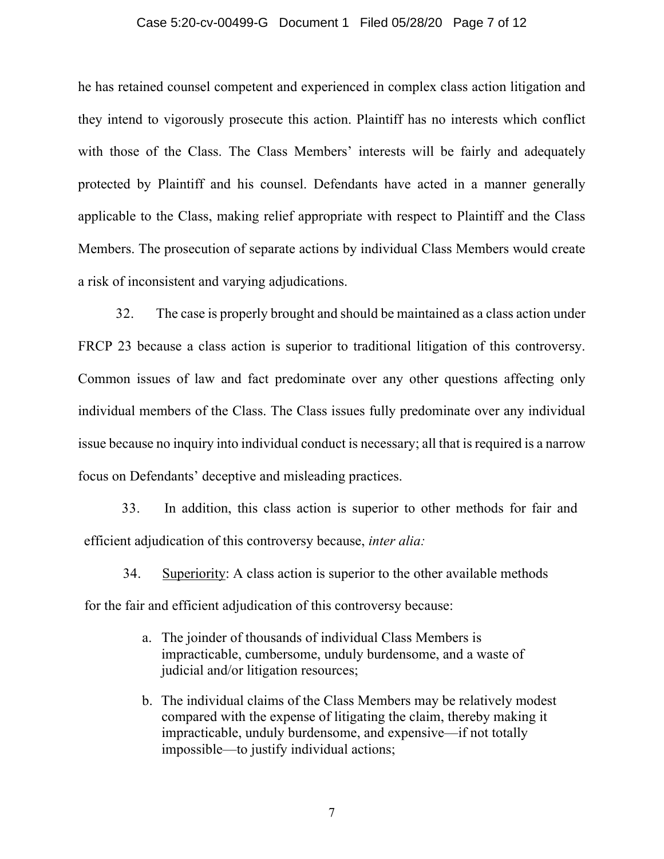#### Case 5:20-cv-00499-G Document 1 Filed 05/28/20 Page 7 of 12

he has retained counsel competent and experienced in complex class action litigation and they intend to vigorously prosecute this action. Plaintiff has no interests which conflict with those of the Class. The Class Members' interests will be fairly and adequately protected by Plaintiff and his counsel. Defendants have acted in a manner generally applicable to the Class, making relief appropriate with respect to Plaintiff and the Class Members. The prosecution of separate actions by individual Class Members would create a risk of inconsistent and varying adjudications.

32. The case is properly brought and should be maintained as a class action under FRCP 23 because a class action is superior to traditional litigation of this controversy. Common issues of law and fact predominate over any other questions affecting only individual members of the Class. The Class issues fully predominate over any individual issue because no inquiry into individual conduct is necessary; all that is required is a narrow focus on Defendants' deceptive and misleading practices.

33. In addition, this class action is superior to other methods for fair and efficient adjudication of this controversy because, *inter alia:*

34. Superiority: A class action is superior to the other available methods for the fair and efficient adjudication of this controversy because:

- a. The joinder of thousands of individual Class Members is impracticable, cumbersome, unduly burdensome, and a waste of judicial and/or litigation resources;
- b. The individual claims of the Class Members may be relatively modest compared with the expense of litigating the claim, thereby making it impracticable, unduly burdensome, and expensive—if not totally impossible—to justify individual actions;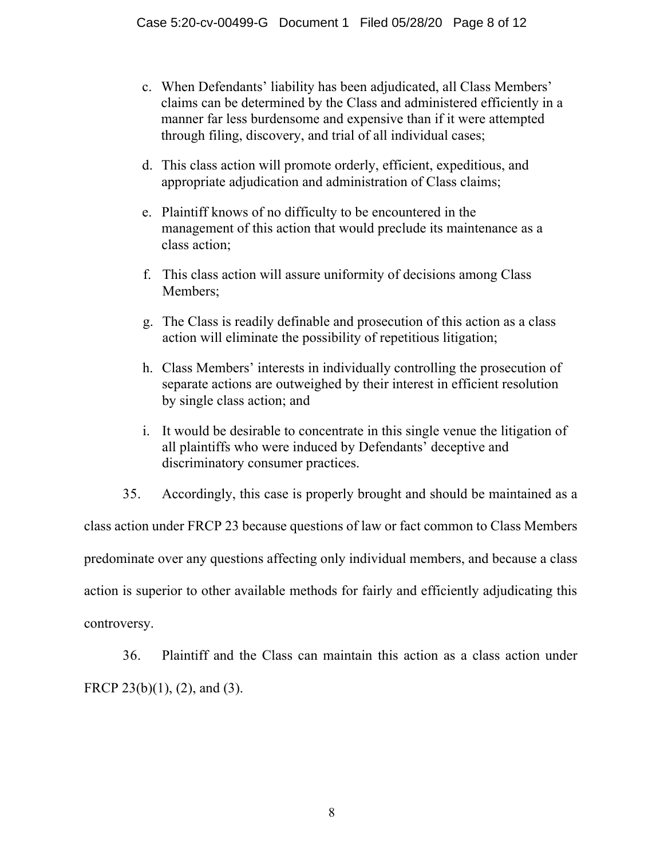- c. When Defendants' liability has been adjudicated, all Class Members' claims can be determined by the Class and administered efficiently in a manner far less burdensome and expensive than if it were attempted through filing, discovery, and trial of all individual cases;
- d. This class action will promote orderly, efficient, expeditious, and appropriate adjudication and administration of Class claims;
- e. Plaintiff knows of no difficulty to be encountered in the management of this action that would preclude its maintenance as a class action;
- f. This class action will assure uniformity of decisions among Class Members;
- g. The Class is readily definable and prosecution of this action as a class action will eliminate the possibility of repetitious litigation;
- h. Class Members' interests in individually controlling the prosecution of separate actions are outweighed by their interest in efficient resolution by single class action; and
- i. It would be desirable to concentrate in this single venue the litigation of all plaintiffs who were induced by Defendants' deceptive and discriminatory consumer practices.
- 35. Accordingly, this case is properly brought and should be maintained as a

class action under FRCP 23 because questions of law or fact common to Class Members predominate over any questions affecting only individual members, and because a class action is superior to other available methods for fairly and efficiently adjudicating this controversy.

36. Plaintiff and the Class can maintain this action as a class action under FRCP 23(b)(1), (2), and (3).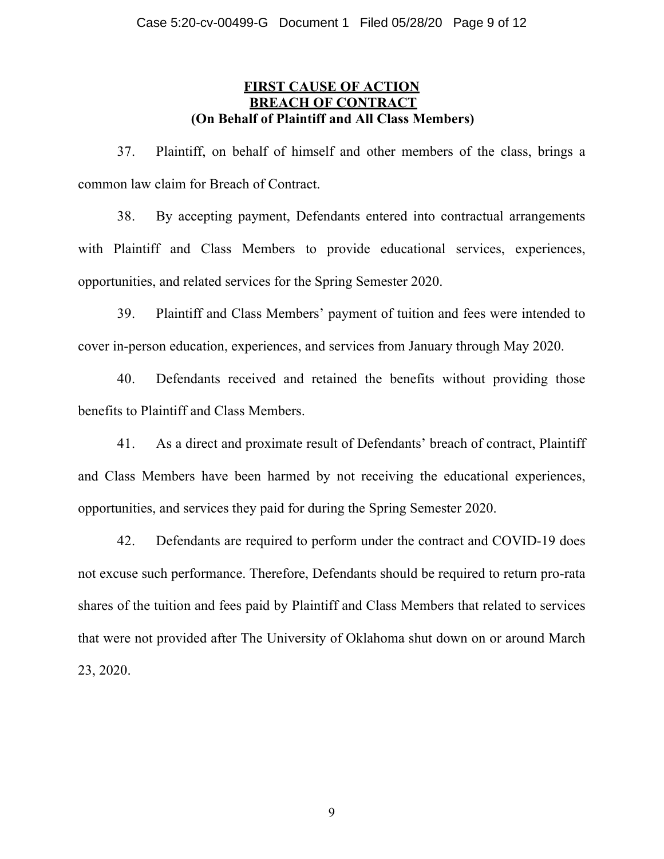# **FIRST CAUSE OF ACTION BREACH OF CONTRACT (On Behalf of Plaintiff and All Class Members)**

37. Plaintiff, on behalf of himself and other members of the class, brings a common law claim for Breach of Contract.

38. By accepting payment, Defendants entered into contractual arrangements with Plaintiff and Class Members to provide educational services, experiences, opportunities, and related services for the Spring Semester 2020.

39. Plaintiff and Class Members' payment of tuition and fees were intended to cover in-person education, experiences, and services from January through May 2020.

40. Defendants received and retained the benefits without providing those benefits to Plaintiff and Class Members.

41. As a direct and proximate result of Defendants' breach of contract, Plaintiff and Class Members have been harmed by not receiving the educational experiences, opportunities, and services they paid for during the Spring Semester 2020.

42. Defendants are required to perform under the contract and COVID-19 does not excuse such performance. Therefore, Defendants should be required to return pro-rata shares of the tuition and fees paid by Plaintiff and Class Members that related to services that were not provided after The University of Oklahoma shut down on or around March 23, 2020.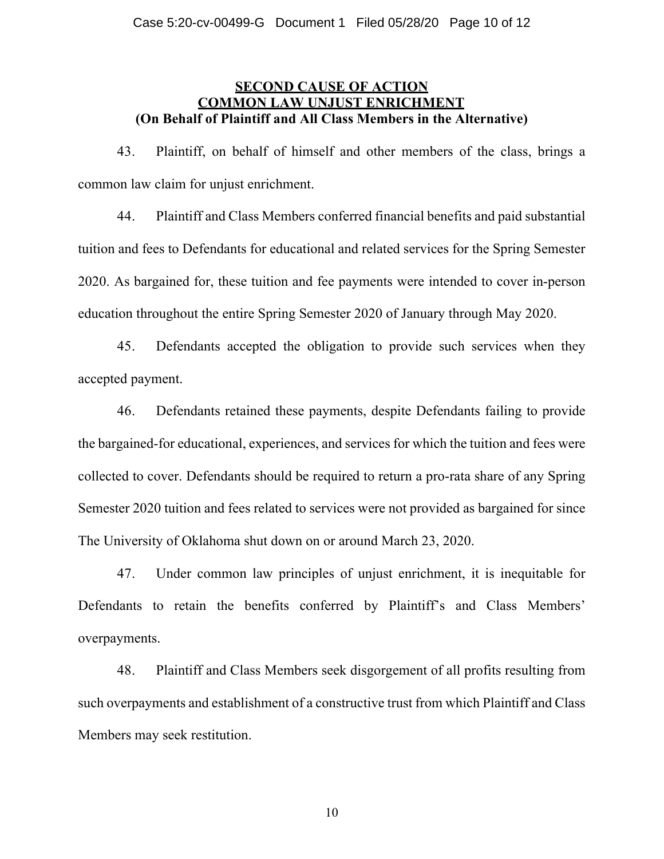# **SECOND CAUSE OF ACTION COMMON LAW UN. (On Behalf of Plaintiff and All Class Members in the Alternative)**

43. Plaintiff, on behalf of himself and other members of the class, brings a common law claim for unjust enrichment.

44. Plaintiff and Class Members conferred financial benefits and paid substantial tuition and fees to Defendants for educational and related services for the Spring Semester 2020. As bargained for, these tuition and fee payments were intended to cover in-person education throughout the entire Spring Semester 2020 of January through May 2020.

45. Defendants accepted the obligation to provide such services when they accepted payment.

46. Defendants retained these payments, despite Defendants failing to provide the bargained-for educational, experiences, and services for which the tuition and fees were collected to cover. Defendants should be required to return a pro-rata share of any Spring Semester 2020 tuition and fees related to services were not provided as bargained for since The University of Oklahoma shut down on or around March 23, 2020.

47. Under common law principles of unjust enrichment, it is inequitable for Defendants to retain the benefits conferred by Plaintiff's and Class Members' overpayments.

48. Plaintiff and Class Members seek disgorgement of all profits resulting from such overpayments and establishment of a constructive trust from which Plaintiff and Class Members may seek restitution.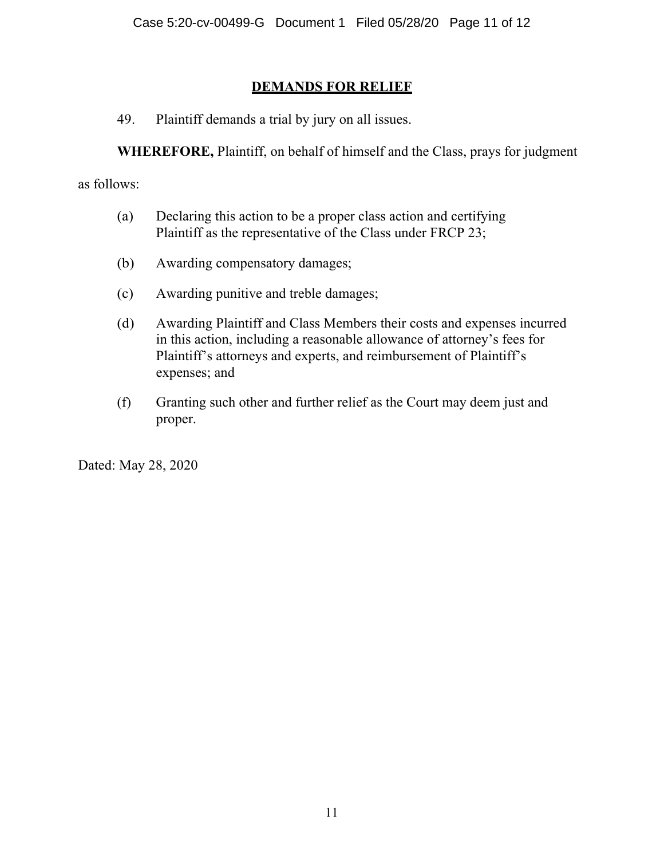# **DEMANDS FOR RELIEF**

49. Plaintiff demands a trial by jury on all issues.

**WHEREFORE,** Plaintiff, on behalf of himself and the Class, prays for judgment

as follows:

- (a) Declaring this action to be a proper class action and certifying Plaintiff as the representative of the Class under FRCP 23;
- (b) Awarding compensatory damages;
- (c) Awarding punitive and treble damages;
- (d) Awarding Plaintiff and Class Members their costs and expenses incurred in this action, including a reasonable allowance of attorney's fees for Plaintiff's attorneys and experts, and reimbursement of Plaintiff's expenses; and
- (f) Granting such other and further relief as the Court may deem just and proper.

Dated: May 28, 2020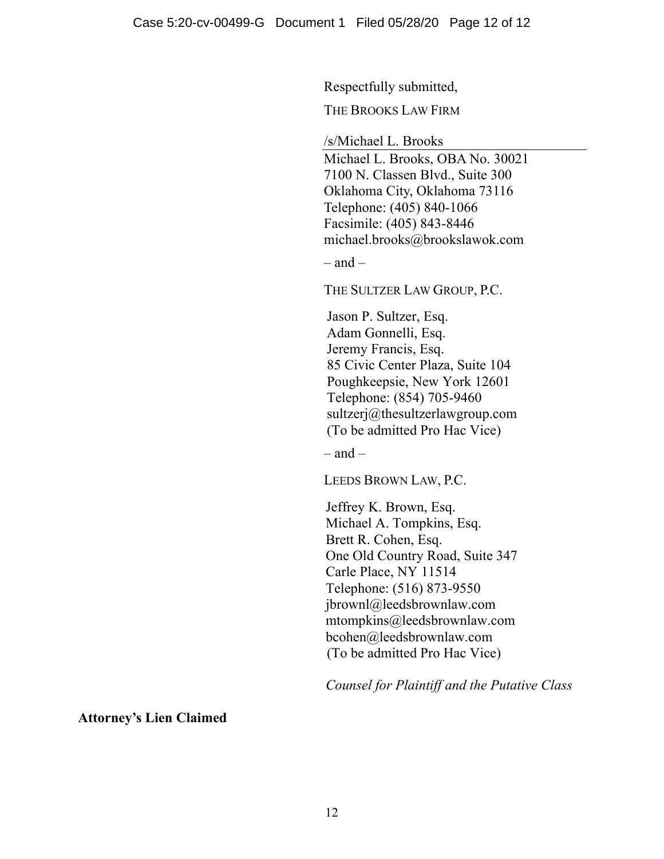Respectfully submitted,

THE BROOKS LAW FIRM

/s/Michael L. Brooks

Michael L. Brooks, OBA No. 30021 7100 N. Classen Blvd., Suite 300 Oklahoma City, Oklahoma 73116 Telephone: (405) 840-1066 Facsimile: (405) 843-8446 michael.brooks@brookslawok.com

 $-$  and  $-$ 

THE SULTZER LAW GROUP, P.C.

Jason P. Sultzer, Esq. Adam Gonnelli, Esq. Jeremy Francis, Esq. 85 Civic Center Plaza, Suite 104 Poughkeepsie, New York 12601 Telephone: (854) 705-9460 sultzerj@thesultzerlawgroup.com (To be admitted Pro Hac Vice)

 $-$  and  $-$ 

LEEDS BROWN LAW, P.C.

Jeffrey K. Brown, Esq. Michael A. Tompkins, Esq. Brett R. Cohen, Esq. One Old Country Road, Suite 347 Carle Place, NY 11514 Telephone: (516) 873-9550 jbrownl@leedsbrownlaw.com mtompkins@leedsbrownlaw.com bcohen@leedsbrownlaw.com (To be admitted Pro Hac Vice)

*Counsel for Plaintiff and the Putative Class*

**Attorney's Lien Claimed**